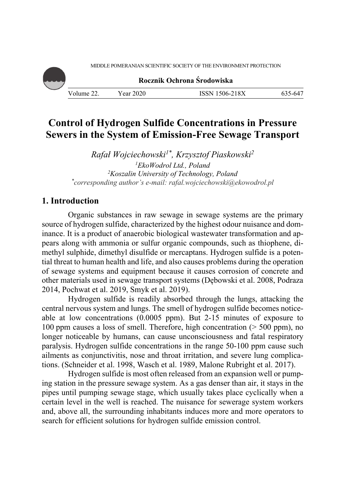MIDDLE POMERANIAN SCIENTIFIC SOCIETY OF THE ENVIRONMENT PROTECTION

**Rocznik Ochrona Środowiska** Volume 22. Year 2020 ISSN 1506-218X 635-647

# **Control of Hydrogen Sulfide Concentrations in Pressure Sewers in the System of Emission-Free Sewage Transport**

*Rafał Wojciechowski1\*, Krzysztof Piaskowski2*  <sup>1</sup>EkoWodrol Ltd., Poland <sup>2</sup>*Koszalin University of Technology, Poland Koszalin University of Technology, Poland \* corresponding author's e-mail: rafal.wojciechowski@ekowodrol.pl*

## **1. Introduction**

Organic substances in raw sewage in sewage systems are the primary source of hydrogen sulfide, characterized by the highest odour nuisance and dominance. It is a product of anaerobic biological wastewater transformation and appears along with ammonia or sulfur organic compounds, such as thiophene, dimethyl sulphide, dimethyl disulfide or mercaptans. Hydrogen sulfide is a potential threat to human health and life, and also causes problems during the operation of sewage systems and equipment because it causes corrosion of concrete and other materials used in sewage transport systems (Dębowski et al. 2008, Podraza 2014, Pochwat et al. 2019, Smyk et al. 2019).

Hydrogen sulfide is readily absorbed through the lungs, attacking the central nervous system and lungs. The smell of hydrogen sulfide becomes noticeable at low concentrations (0.0005 ppm). But 2-15 minutes of exposure to 100 ppm causes a loss of smell. Therefore, high concentration (> 500 ppm), no longer noticeable by humans, can cause unconsciousness and fatal respiratory paralysis. Hydrogen sulfide concentrations in the range 50-100 ppm cause such ailments as conjunctivitis, nose and throat irritation, and severe lung complications. (Schneider et al. 1998, Wasch et al. 1989, Malone Rubright et al. 2017).

Hydrogen sulfide is most often released from an expansion well or pumping station in the pressure sewage system. As a gas denser than air, it stays in the pipes until pumping sewage stage, which usually takes place cyclically when a certain level in the well is reached. The nuisance for sewerage system workers and, above all, the surrounding inhabitants induces more and more operators to search for efficient solutions for hydrogen sulfide emission control.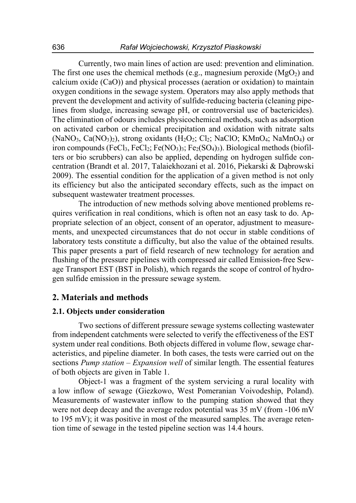Currently, two main lines of action are used: prevention and elimination. The first one uses the chemical methods (e.g., magnesium peroxide  $(MgO<sub>2</sub>)$  and calcium oxide (CaO)) and physical processes (aeration or oxidation) to maintain oxygen conditions in the sewage system. Operators may also apply methods that prevent the development and activity of sulfide-reducing bacteria (cleaning pipelines from sludge, increasing sewage pH, or controversial use of bactericides). The elimination of odours includes physicochemical methods, such as adsorption on activated carbon or chemical precipitation and oxidation with nitrate salts  $(NaNO<sub>3</sub>, Ca(NO<sub>3</sub>)<sub>2</sub>)$ , strong oxidants  $(H<sub>2</sub>O<sub>2</sub>; Cl<sub>2</sub>; NaClO; KMnO<sub>4</sub>; NaMnO<sub>4</sub>)$  or iron compounds (FeCl<sub>3</sub>, FeCl<sub>2</sub>; Fe(NO<sub>3</sub>)<sub>3</sub>; Fe<sub>2</sub>(SO<sub>4</sub>)<sub>3</sub>). Biological methods (biofilters or bio scrubbers) can also be applied, depending on hydrogen sulfide concentration (Brandt et al. 2017, Talaiekhozani et al. 2016, Piekarski & Dąbrowski 2009). The essential condition for the application of a given method is not only its efficiency but also the anticipated secondary effects, such as the impact on subsequent wastewater treatment processes.

The introduction of new methods solving above mentioned problems requires verification in real conditions, which is often not an easy task to do. Appropriate selection of an object, consent of an operator, adjustment to measurements, and unexpected circumstances that do not occur in stable conditions of laboratory tests constitute a difficulty, but also the value of the obtained results. This paper presents a part of field research of new technology for aeration and flushing of the pressure pipelines with compressed air called Emission-free Sewage Transport EST (BST in Polish), which regards the scope of control of hydrogen sulfide emission in the pressure sewage system.

## **2. Materials and methods**

#### **2.1. Objects under consideration**

Two sections of different pressure sewage systems collecting wastewater from independent catchments were selected to verify the effectiveness of the EST system under real conditions. Both objects differed in volume flow, sewage characteristics, and pipeline diameter. In both cases, the tests were carried out on the sections *Pump station – Expansion well* of similar length. The essential features of both objects are given in Table 1.

Object-1 was a fragment of the system servicing a rural locality with a low inflow of sewage (Giezkowo, West Pomeranian Voivodeship, Poland). Measurements of wastewater inflow to the pumping station showed that they were not deep decay and the average redox potential was 35 mV (from -106 mV to 195 mV); it was positive in most of the measured samples. The average retention time of sewage in the tested pipeline section was 14.4 hours.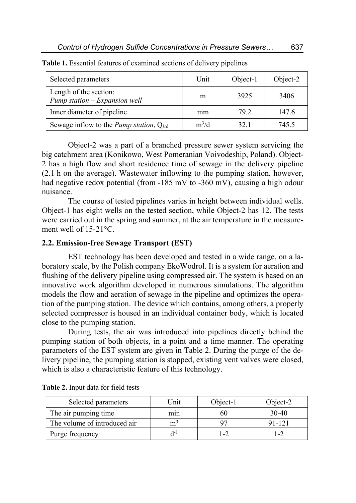| Selected parameters                                         | Unit    | Object-1 | Object-2 |
|-------------------------------------------------------------|---------|----------|----------|
| Length of the section:<br>Pump station - Expansion well     | m       | 3925     | 3406     |
| Inner diameter of pipeline                                  | mm      | 79.2     | 147.6    |
| Sewage inflow to the <i>Pump station</i> , Q <sub>srd</sub> | $m^3/d$ | 32.1     | 745.5    |

**Table 1.** Essential features of examined sections of delivery pipelines

Object-2 was a part of a branched pressure sewer system servicing the big catchment area (Konikowo, West Pomeranian Voivodeship, Poland). Object-2 has a high flow and short residence time of sewage in the delivery pipeline (2.1 h on the average). Wastewater inflowing to the pumping station, however, had negative redox potential (from -185 mV to -360 mV), causing a high odour nuisance.

The course of tested pipelines varies in height between individual wells. Object-1 has eight wells on the tested section, while Object-2 has 12. The tests were carried out in the spring and summer, at the air temperature in the measurement well of 15-21°C.

#### **2.2. Emission-free Sewage Transport (EST)**

EST technology has been developed and tested in a wide range, on a laboratory scale, by the Polish company EkoWodrol. It is a system for aeration and flushing of the delivery pipeline using compressed air. The system is based on an innovative work algorithm developed in numerous simulations. The algorithm models the flow and aeration of sewage in the pipeline and optimizes the operation of the pumping station. The device which contains, among others, a properly selected compressor is housed in an individual container body, which is located close to the pumping station.

During tests, the air was introduced into pipelines directly behind the pumping station of both objects, in a point and a time manner. The operating parameters of the EST system are given in Table 2. During the purge of the delivery pipeline, the pumping station is stopped, existing vent valves were closed, which is also a characteristic feature of this technology.

| Selected parameters          | l Jnit | Object-1 | Object- $2$ |
|------------------------------|--------|----------|-------------|
| The air pumping time         | mın    | hU       | $30-40$     |
| The volume of introduced air | m      |          | 91-121      |
| Purge frequency              |        | $1 - 2$  |             |

**Table 2.** Input data for field tests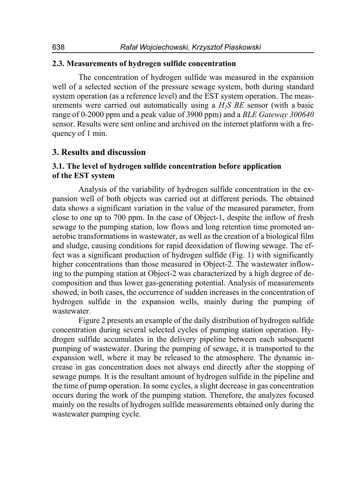## **2.3. Measurements of hydrogen sulfide concentration**

The concentration of hydrogen sulfide was measured in the expansion well of a selected section of the pressure sewage system, both during standard system operation (as a reference level) and the EST system operation. The measurements were carried out automatically using a *H2S BE* sensor (with a basic range of 0-2000 ppm and a peak value of 3900 ppm) and a *BLE Gateway 300640* sensor. Results were sent online and archived on the internet platform with a frequency of 1 min.

## **3. Results and discussion**

## **3.1. The level of hydrogen sulfide concentration before application of the EST system**

Analysis of the variability of hydrogen sulfide concentration in the expansion well of both objects was carried out at different periods. The obtained data shows a significant variation in the value of the measured parameter, from close to one up to 700 ppm. In the case of Object-1, despite the inflow of fresh sewage to the pumping station, low flows and long retention time promoted anaerobic transformations in wastewater, as well as the creation of a biological film and sludge, causing conditions for rapid deoxidation of flowing sewage. The effect was a significant production of hydrogen sulfide (Fig. 1) with significantly higher concentrations than those measured in Object-2. The wastewater inflowing to the pumping station at Object-2 was characterized by a high degree of decomposition and thus lower gas-generating potential. Analysis of measurements showed, in both cases, the occurrence of sudden increases in the concentration of hydrogen sulfide in the expansion wells, mainly during the pumping of wastewater.

Figure 2 presents an example of the daily distribution of hydrogen sulfide concentration during several selected cycles of pumping station operation. Hydrogen sulfide accumulates in the delivery pipeline between each subsequent pumping of wastewater. During the pumping of sewage, it is transported to the expansion well, where it may be released to the atmosphere. The dynamic increase in gas concentration does not always end directly after the stopping of sewage pumps. It is the resultant amount of hydrogen sulfide in the pipeline and the time of pump operation. In some cycles, a slight decrease in gas concentration occurs during the work of the pumping station. Therefore, the analyzes focused mainly on the results of hydrogen sulfide measurements obtained only during the wastewater pumping cycle.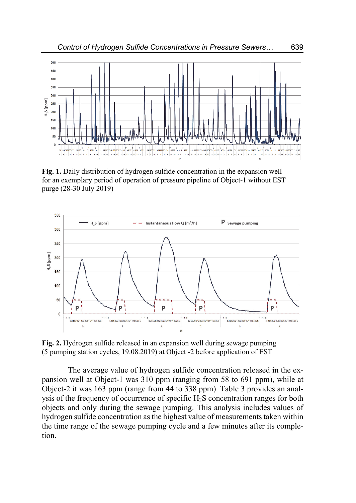

**Fig. 1.** Daily distribution of hydrogen sulfide concentration in the expansion well for an exemplary period of operation of pressure pipeline of Object-1 without EST purge (28-30 July 2019)



**Fig. 2.** Hydrogen sulfide released in an expansion well during sewage pumping (5 pumping station cycles, 19.08.2019) at Object -2 before application of EST

The average value of hydrogen sulfide concentration released in the expansion well at Object-1 was 310 ppm (ranging from 58 to 691 ppm), while at Object-2 it was 163 ppm (range from 44 to 338 ppm). Table 3 provides an analysis of the frequency of occurrence of specific  $H_2S$  concentration ranges for both objects and only during the sewage pumping. This analysis includes values of hydrogen sulfide concentration as the highest value of measurements taken within the time range of the sewage pumping cycle and a few minutes after its completion.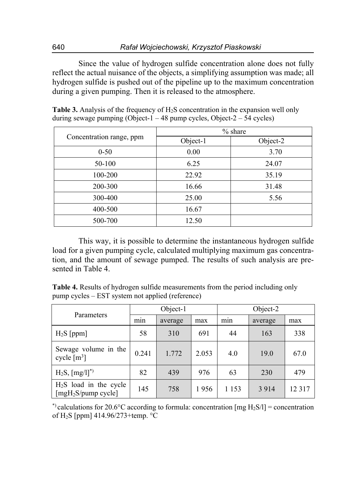Since the value of hydrogen sulfide concentration alone does not fully reflect the actual nuisance of the objects, a simplifying assumption was made; all hydrogen sulfide is pushed out of the pipeline up to the maximum concentration during a given pumping. Then it is released to the atmosphere.

| Concentration range, ppm | % share  |          |  |  |
|--------------------------|----------|----------|--|--|
|                          | Object-1 | Object-2 |  |  |
| $0 - 50$                 | 0.00     | 3.70     |  |  |
| 50-100                   | 6.25     | 24.07    |  |  |
| 100-200                  | 22.92    | 35.19    |  |  |
| 200-300                  | 16.66    | 31.48    |  |  |
| 300-400                  | 25.00    | 5.56     |  |  |
| 400-500                  | 16.67    |          |  |  |
| 500-700                  | 12.50    |          |  |  |

**Table 3.** Analysis of the frequency of H<sub>2</sub>S concentration in the expansion well only during sewage pumping (Object- $1 - 48$  pump cycles, Object- $2 - 54$  cycles)

This way, it is possible to determine the instantaneous hydrogen sulfide load for a given pumping cycle, calculated multiplying maximum gas concentration, and the amount of sewage pumped. The results of such analysis are presented in Table 4.

**Table 4.** Results of hydrogen sulfide measurements from the period including only pump cycles – EST system not applied (reference)

| Parameters                                                 | Object-1 |         |       | Object-2 |         |       |
|------------------------------------------------------------|----------|---------|-------|----------|---------|-------|
|                                                            | mın      | average | max   | min      | average | max   |
| $H_2S$ [ppm]                                               | 58       | 310     | 691   | 44       | 163     | 338   |
| Sewage volume in the<br>cycle $\lceil m^3 \rceil$          | 0.241    | 1.772   | 2.053 | 4.0      | 19.0    | 67.0  |
| $H_2S$ , $[mg/l]^*$                                        | 82       | 439     | 976   | 63       | 230     | 479   |
| $H2S$ load in the cycle<br>[mgH <sub>2</sub> S/pump cycle] | 145      | 758     | 1956  | 1 1 5 3  | 3914    | 12317 |

\*) calculations for 20.6°C according to formula: concentration [mg  $H_2S/I$ ] = concentration of H2S [ppm] 414.96/273+temp. °C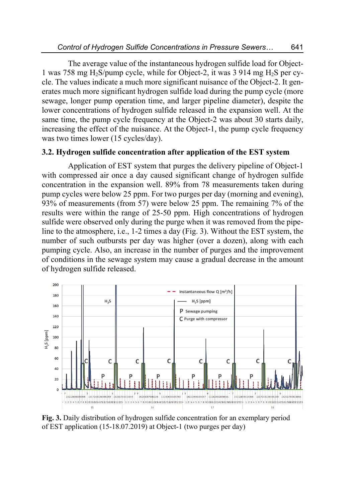The average value of the instantaneous hydrogen sulfide load for Object-1 was 758 mg H<sub>2</sub>S/pump cycle, while for Object-2, it was 3 914 mg H<sub>2</sub>S per cycle. The values indicate a much more significant nuisance of the Object-2. It generates much more significant hydrogen sulfide load during the pump cycle (more sewage, longer pump operation time, and larger pipeline diameter), despite the lower concentrations of hydrogen sulfide released in the expansion well. At the same time, the pump cycle frequency at the Object-2 was about 30 starts daily, increasing the effect of the nuisance. At the Object-1, the pump cycle frequency was two times lower (15 cycles/day).

## **3.2. Hydrogen sulfide concentration after application of the EST system**

Application of EST system that purges the delivery pipeline of Object-1 with compressed air once a day caused significant change of hydrogen sulfide concentration in the expansion well. 89% from 78 measurements taken during pump cycles were below 25 ppm. For two purges per day (morning and evening), 93% of measurements (from 57) were below 25 ppm. The remaining 7% of the results were within the range of 25-50 ppm. High concentrations of hydrogen sulfide were observed only during the purge when it was removed from the pipeline to the atmosphere, i.e., 1-2 times a day (Fig. 3). Without the EST system, the number of such outbursts per day was higher (over a dozen), along with each pumping cycle. Also, an increase in the number of purges and the improvement of conditions in the sewage system may cause a gradual decrease in the amount of hydrogen sulfide released.



**Fig. 3.** Daily distribution of hydrogen sulfide concentration for an exemplary period of EST application (15-18.07.2019) at Object-1 (two purges per day)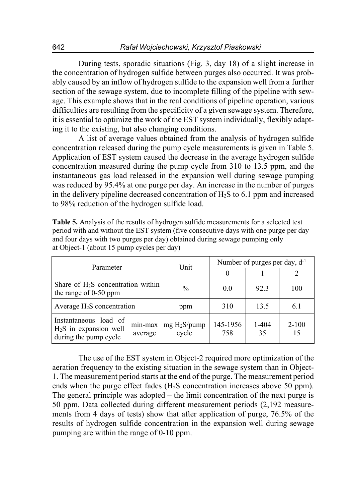During tests, sporadic situations (Fig. 3, day 18) of a slight increase in the concentration of hydrogen sulfide between purges also occurred. It was probably caused by an inflow of hydrogen sulfide to the expansion well from a further section of the sewage system, due to incomplete filling of the pipeline with sewage. This example shows that in the real conditions of pipeline operation, various difficulties are resulting from the specificity of a given sewage system. Therefore, it is essential to optimize the work of the EST system individually, flexibly adapting it to the existing, but also changing conditions.

A list of average values obtained from the analysis of hydrogen sulfide concentration released during the pump cycle measurements is given in Table 5. Application of EST system caused the decrease in the average hydrogen sulfide concentration measured during the pump cycle from 310 to 13.5 ppm, and the instantaneous gas load released in the expansion well during sewage pumping was reduced by 95.4% at one purge per day. An increase in the number of purges in the delivery pipeline decreased concentration of H2S to 6.1 ppm and increased to 98% reduction of the hydrogen sulfide load.

| Parameter                                                                 |                    | Unit                              | Number of purges per day, $d^{-1}$ |                 |                 |
|---------------------------------------------------------------------------|--------------------|-----------------------------------|------------------------------------|-----------------|-----------------|
|                                                                           |                    |                                   |                                    |                 |                 |
| Share of $H_2S$ concentration within<br>the range of $0-50$ ppm           |                    | $\frac{0}{0}$                     | 0.0                                | 92.3            | 100             |
| Average $H_2S$ concentration                                              |                    | ppm                               | 310                                | 13.5            | 6.1             |
| Instantaneous load of<br>$H2S$ in expansion well<br>during the pump cycle | min-max<br>average | mg H <sub>2</sub> S/pump<br>cycle | 145-1956<br>758                    | $1 - 404$<br>35 | $2 - 100$<br>15 |

**Table 5.** Analysis of the results of hydrogen sulfide measurements for a selected test period with and without the EST system (five consecutive days with one purge per day and four days with two purges per day) obtained during sewage pumping only at Object-1 (about 15 pump cycles per day)

The use of the EST system in Object-2 required more optimization of the aeration frequency to the existing situation in the sewage system than in Object-1. The measurement period starts at the end of the purge. The measurement period ends when the purge effect fades  $(H<sub>2</sub>S$  concentration increases above 50 ppm). The general principle was adopted – the limit concentration of the next purge is 50 ppm. Data collected during different measurement periods (2,192 measurements from 4 days of tests) show that after application of purge, 76.5% of the results of hydrogen sulfide concentration in the expansion well during sewage pumping are within the range of 0-10 ppm.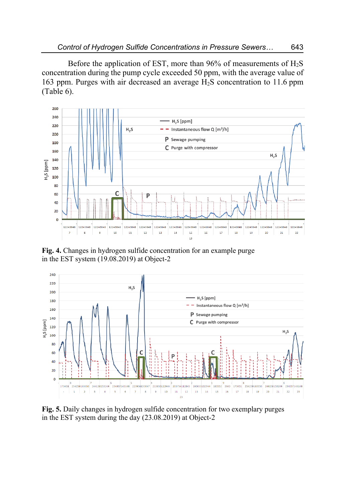Before the application of EST, more than 96% of measurements of  $H_2S$ concentration during the pump cycle exceeded 50 ppm, with the average value of 163 ppm. Purges with air decreased an average H2S concentration to 11.6 ppm (Table 6).



**Fig. 4.** Changes in hydrogen sulfide concentration for an example purge in the EST system (19.08.2019) at Object-2



**Fig. 5.** Daily changes in hydrogen sulfide concentration for two exemplary purges in the EST system during the day (23.08.2019) at Object-2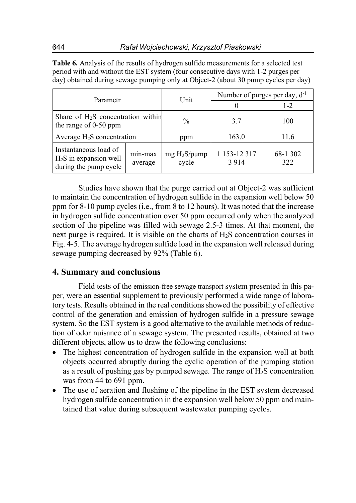| Parametr                                                                  |                    | Unit                              | Number of purges per day, $d^{-1}$ |                 |  |
|---------------------------------------------------------------------------|--------------------|-----------------------------------|------------------------------------|-----------------|--|
|                                                                           |                    |                                   |                                    | $1 - 2$         |  |
| Share of $H_2S$ concentration within<br>the range of $0-50$ ppm           |                    | $\frac{0}{0}$                     | 3.7                                | 100             |  |
| Average $H_2S$ concentration                                              |                    | ppm                               | 163.0                              | 11.6            |  |
| Instantaneous load of<br>$H2S$ in expansion well<br>during the pump cycle | min-max<br>average | mg H <sub>2</sub> S/pump<br>cycle | 1 153-12 317<br>3914               | 68-1 302<br>322 |  |

**Table 6.** Analysis of the results of hydrogen sulfide measurements for a selected test period with and without the EST system (four consecutive days with 1-2 purges per day) obtained during sewage pumping only at Object-2 (about 30 pump cycles per day)

Studies have shown that the purge carried out at Object-2 was sufficient to maintain the concentration of hydrogen sulfide in the expansion well below 50 ppm for 8-10 pump cycles (i.e., from 8 to 12 hours). It was noted that the increase in hydrogen sulfide concentration over 50 ppm occurred only when the analyzed section of the pipeline was filled with sewage 2.5-3 times. At that moment, the next purge is required. It is visible on the charts of H2S concentration courses in Fig. 4-5. The average hydrogen sulfide load in the expansion well released during sewage pumping decreased by 92% (Table 6).

# **4. Summary and conclusions**

Field tests of the emission-free sewage transport system presented in this paper, were an essential supplement to previously performed a wide range of laboratory tests. Results obtained in the real conditions showed the possibility of effective control of the generation and emission of hydrogen sulfide in a pressure sewage system. So the EST system is a good alternative to the available methods of reduction of odor nuisance of a sewage system. The presented results, obtained at two different objects, allow us to draw the following conclusions:

- The highest concentration of hydrogen sulfide in the expansion well at both objects occurred abruptly during the cyclic operation of the pumping station as a result of pushing gas by pumped sewage. The range of  $H_2S$  concentration was from 44 to 691 ppm.
- The use of aeration and flushing of the pipeline in the EST system decreased hydrogen sulfide concentration in the expansion well below 50 ppm and maintained that value during subsequent wastewater pumping cycles.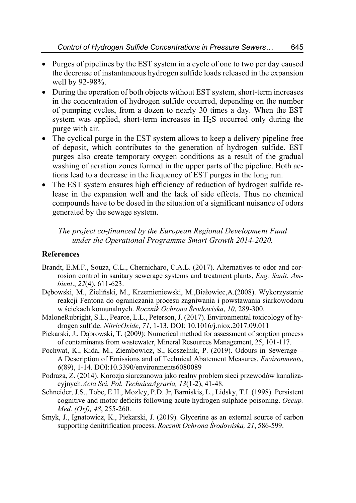- Purges of pipelines by the EST system in a cycle of one to two per day caused the decrease of instantaneous hydrogen sulfide loads released in the expansion well by 92-98%.
- During the operation of both objects without EST system, short-term increases in the concentration of hydrogen sulfide occurred, depending on the number of pumping cycles, from a dozen to nearly 30 times a day. When the EST system was applied, short-term increases in  $H<sub>2</sub>S$  occurred only during the purge with air.
- The cyclical purge in the EST system allows to keep a delivery pipeline free of deposit, which contributes to the generation of hydrogen sulfide. EST purges also create temporary oxygen conditions as a result of the gradual washing of aeration zones formed in the upper parts of the pipeline. Both actions lead to a decrease in the frequency of EST purges in the long run.
- The EST system ensures high efficiency of reduction of hydrogen sulfide release in the expansion well and the lack of side effects. Thus no chemical compounds have to be dosed in the situation of a significant nuisance of odors generated by the sewage system.

*The project co-financed by the European Regional Development Fund under the Operational Programme Smart Growth 2014-2020.* 

## **References**

- Brandt, E.M.F., Souza, C.L., Chernicharo, C.A.L. (2017). Alternatives to odor and corrosion control in sanitary sewerage systems and treatment plants, *Eng. Sanit. Ambient*., *22*(4), 611-623.
- Dębowski, M., Zieliński, M., Krzemieniewski, M.,Białowiec,A.(2008). Wykorzystanie reakcji Fentona do ograniczania procesu zagniwania i powstawania siarkowodoru w ściekach komunalnych. *Rocznik Ochrona Środowiska*, *10*, 289-300.
- MaloneRubright, S.L., Pearce, L.L., Peterson, J. (2017). Environmental toxicology of hydrogen sulfide. *NitricOxide*, *71*, 1-13. DOI: 10.1016/j.niox.2017.09.011
- Piekarski, J., Dąbrowski, T. (2009): Numerical method for assessment of sorption process of contaminants from wastewater, Mineral Resources Management, 25, 101-117.
- Pochwat, K., Kida, M., Ziembowicz, S., Koszelnik, P. (2019). Odours in Sewerage A Description of Emissions and of Technical Abatement Measures. *Environments*, *6*(89), 1-14. DOI:10.3390/environments6080089
- Podraza, Z. (2014). Korozja siarczanowa jako realny problem sieci przewodów kanalizacyjnych.*Acta Sci. Pol. TechnicaAgraria, 13*(1-2), 41-48.
- Schneider, J.S., Tobe, E.H., Mozley, P.D. Jr, Barniskis, L., Lidsky, T.I. (1998). Persistent cognitive and motor deficits following acute hydrogen sulphide poisoning. *Occup. Med. (Oxf), 48*, 255-260.
- Smyk, J., Ignatowicz, K., Piekarski, J. (2019). Glycerine as an external source of carbon supporting denitrification process. *Rocznik Ochrona Środowiska, 21*, 586-599.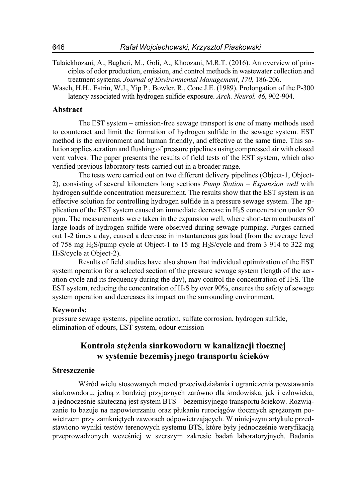- Talaiekhozani, A., Bagheri, M., Goli, A., Khoozani, M.R.T. (2016). An overview of principles of odor production, emission, and control methods in wastewater collection and treatment systems. *Journal of Environmental Management*, *170*, 186-206.
- Wasch, H.H., Estrin, W.J., Yip P., Bowler, R., Cone J.E. (1989). Prolongation of the P-300 latency associated with hydrogen sulfide exposure. *Arch. Neurol. 46*, 902-904.

#### **Abstract**

The EST system – emission-free sewage transport is one of many methods used to counteract and limit the formation of hydrogen sulfide in the sewage system. EST method is the environment and human friendly, and effective at the same time. This solution applies aeration and flushing of pressure pipelines using compressed air with closed vent valves. The paper presents the results of field tests of the EST system, which also verified previous laboratory tests carried out in a broader range.

The tests were carried out on two different delivery pipelines (Object-1, Object-2), consisting of several kilometers long sections *Pump Station – Expansion well* with hydrogen sulfide concentration measurement. The results show that the EST system is an effective solution for controlling hydrogen sulfide in a pressure sewage system. The application of the EST system caused an immediate decrease in H2S concentration under 50 ppm. The measurements were taken in the expansion well, where short-term outbursts of large loads of hydrogen sulfide were observed during sewage pumping. Purges carried out 1-2 times a day, caused a decrease in instantaneous gas load (from the average level of 758 mg H2S/pump cycle at Object-1 to 15 mg H2S/cycle and from 3 914 to 322 mg H2S/cycle at Object-2).

Results of field studies have also shown that individual optimization of the EST system operation for a selected section of the pressure sewage system (length of the aeration cycle and its frequency during the day), may control the concentration of  $H_2S$ . The EST system, reducing the concentration of  $H_2S$  by over 90%, ensures the safety of sewage system operation and decreases its impact on the surrounding environment.

#### **Keywords:**

pressure sewage systems, pipeline aeration, sulfate corrosion, hydrogen sulfide, elimination of odours, EST system, odour emission

## **Kontrola stężenia siarkowodoru w kanalizacji tłocznej w systemie bezemisyjnego transportu ścieków**

#### **Streszczenie**

Wśród wielu stosowanych metod przeciwdziałania i ograniczenia powstawania siarkowodoru, jedną z bardziej przyjaznych zarówno dla środowiska, jak i człowieka, a jednocześnie skuteczną jest system BTS – bezemisyjnego transportu ścieków. Rozwiązanie to bazuje na napowietrzaniu oraz płukaniu rurociągów tłocznych sprężonym powietrzem przy zamkniętych zaworach odpowietrzających. W niniejszym artykule przedstawiono wyniki testów terenowych systemu BTS, które były jednocześnie weryfikacją przeprowadzonych wcześniej w szerszym zakresie badań laboratoryjnych. Badania